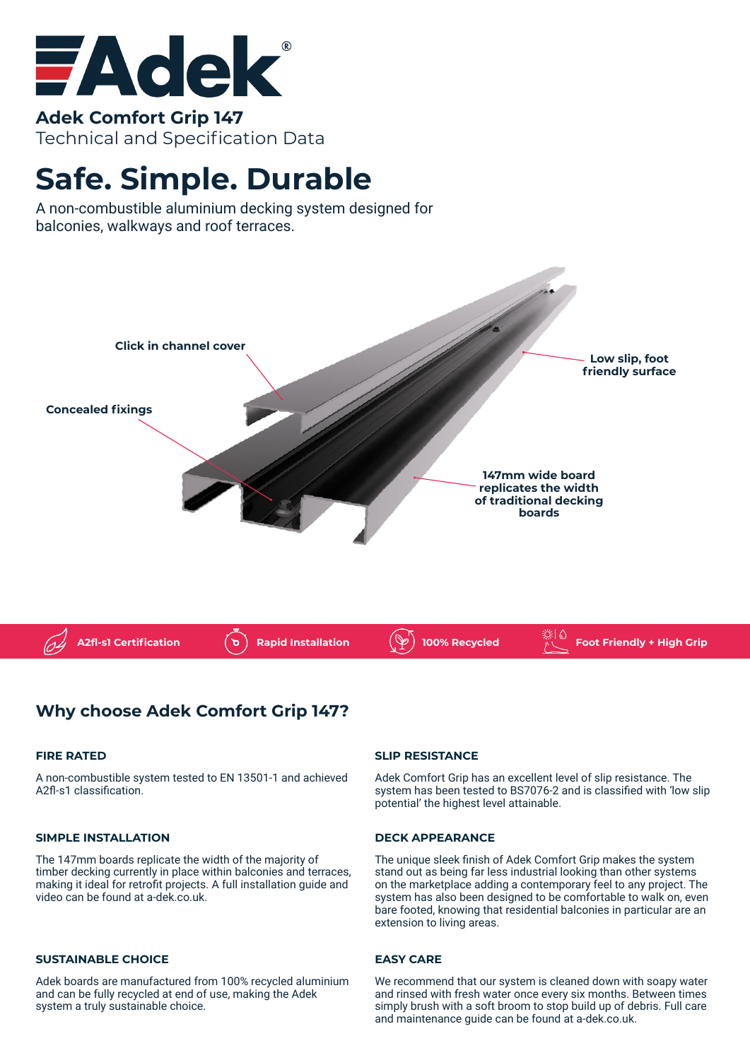

**Adek Comfort Grip 147** Technical and Specification Data

# **Safe. Simple. Durable**

A non-combustible aluminium decking system designed for balconies, walkways and roof terraces.



## **Why choose Adek Comfort Grip 147?**

#### **FIRE RATED**

A non-combustible system tested to EN 13501-1 and achieved A2fl-s1 classification.

#### **SIMPLE INSTALLATION**

The 147mm boards replicate the width of the majority of timber decking currently in place within balconies and terraces, making it ideal for retrofit projects. A full installation guide and video can be found at a-dek.co.uk.

#### **SUSTAINABLE CHOICE**

Adek boards are manufactured from 100% recycled aluminium and can be fully recycled at end of use, making the Adek system a truly sustainable choice.

#### **SLIP RESISTANCE**

Adek Comfort Grip has an excellent level of slip resistance. The system has been tested to BS7076-2 and is classified with 'low slip potential' the highest level attainable.

#### **DECK APPEARANCE**

The unique sleek finish of Adek Comfort Grip makes the system stand out as being far less industrial looking than other systems on the marketplace adding a contemporary feel to any project. The system has also been designed to be comfortable to walk on, even bare footed, knowing that residential balconies in particular are an extension to living areas.

#### **EASY CARE**

We recommend that our system is cleaned down with soapy water and rinsed with fresh water once every six months. Between times simply brush with a soft broom to stop build up of debris. Full care and maintenance guide can be found at a-dek.co.uk.